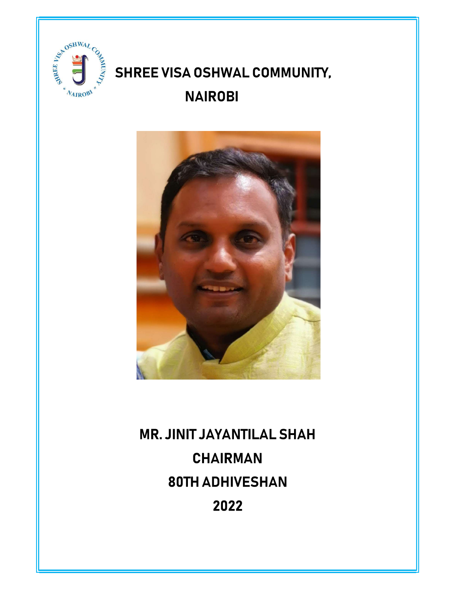

## SHREE VISA OSHWAL COMMUNITY, **NAIROBI**



# **MR. JINIT JAYANTILAL SHAH CHAIRMAN 80TH ADHIVESHAN** 2022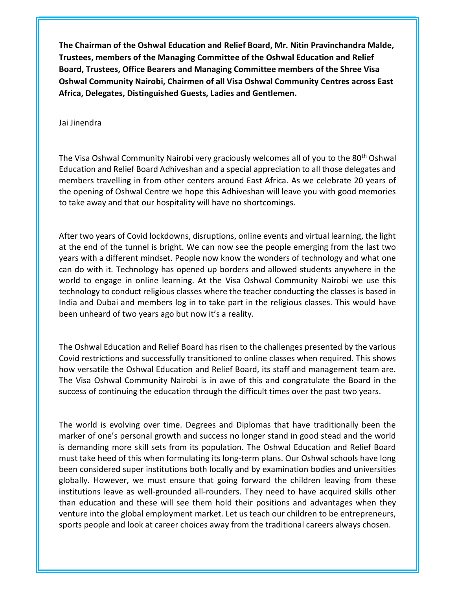The Chairman of the Oshwal Education and Relief Board, Mr. Nitin Pravinchandra Malde, Trustees, members of the Managing Committee of the Oshwal Education and Relief Board, Trustees, Office Bearers and Managing Committee members of the Shree Visa Oshwal Community Nairobi, Chairmen of all Visa Oshwal Community Centres across East Africa, Delegates, Distinguished Guests, Ladies and Gentlemen.

Jai Jinendra

The Visa Oshwal Community Nairobi very graciously welcomes all of you to the 80<sup>th</sup> Oshwal Education and Relief Board Adhiveshan and a special appreciation to all those delegates and members travelling in from other centers around East Africa. As we celebrate 20 years of the opening of Oshwal Centre we hope this Adhiveshan will leave you with good memories to take away and that our hospitality will have no shortcomings.

After two years of Covid lockdowns, disruptions, online events and virtual learning, the light at the end of the tunnel is bright. We can now see the people emerging from the last two years with a different mindset. People now know the wonders of technology and what one can do with it. Technology has opened up borders and allowed students anywhere in the world to engage in online learning. At the Visa Oshwal Community Nairobi we use this technology to conduct religious classes where the teacher conducting the classes is based in India and Dubai and members log in to take part in the religious classes. This would have been unheard of two years ago but now it's a reality.

The Oshwal Education and Relief Board has risen to the challenges presented by the various Covid restrictions and successfully transitioned to online classes when required. This shows how versatile the Oshwal Education and Relief Board, its staff and management team are. The Visa Oshwal Community Nairobi is in awe of this and congratulate the Board in the success of continuing the education through the difficult times over the past two years.

The world is evolving over time. Degrees and Diplomas that have traditionally been the marker of one's personal growth and success no longer stand in good stead and the world is demanding more skill sets from its population. The Oshwal Education and Relief Board must take heed of this when formulating its long-term plans. Our Oshwal schools have long been considered super institutions both locally and by examination bodies and universities globally. However, we must ensure that going forward the children leaving from these institutions leave as well-grounded all-rounders. They need to have acquired skills other than education and these will see them hold their positions and advantages when they venture into the global employment market. Let us teach our children to be entrepreneurs, sports people and look at career choices away from the traditional careers always chosen.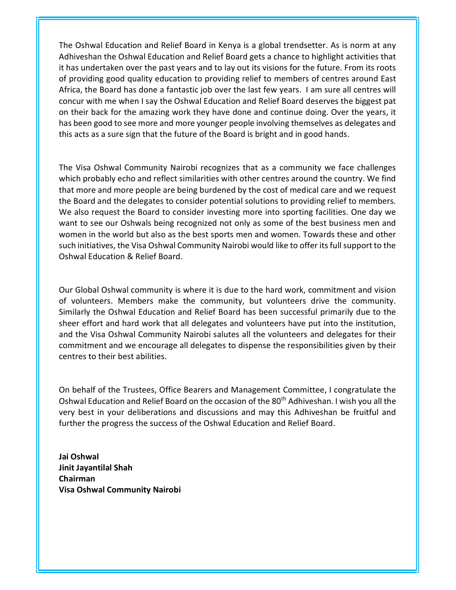The Oshwal Education and Relief Board in Kenya is a global trendsetter. As is norm at any Adhiveshan the Oshwal Education and Relief Board gets a chance to highlight activities that it has undertaken over the past years and to lay out its visions for the future. From its roots of providing good quality education to providing relief to members of centres around East Africa, the Board has done a fantastic job over the last few years. I am sure all centres will concur with me when I say the Oshwal Education and Relief Board deserves the biggest pat on their back for the amazing work they have done and continue doing. Over the years, it has been good to see more and more younger people involving themselves as delegates and this acts as a sure sign that the future of the Board is bright and in good hands.

The Visa Oshwal Community Nairobi recognizes that as a community we face challenges which probably echo and reflect similarities with other centres around the country. We find that more and more people are being burdened by the cost of medical care and we request the Board and the delegates to consider potential solutions to providing relief to members. We also request the Board to consider investing more into sporting facilities. One day we want to see our Oshwals being recognized not only as some of the best business men and women in the world but also as the best sports men and women. Towards these and other such initiatives, the Visa Oshwal Community Nairobi would like to offer its full support to the Oshwal Education & Relief Board.

Our Global Oshwal community is where it is due to the hard work, commitment and vision of volunteers. Members make the community, but volunteers drive the community. Similarly the Oshwal Education and Relief Board has been successful primarily due to the sheer effort and hard work that all delegates and volunteers have put into the institution, and the Visa Oshwal Community Nairobi salutes all the volunteers and delegates for their commitment and we encourage all delegates to dispense the responsibilities given by their centres to their best abilities.

On behalf of the Trustees, Office Bearers and Management Committee, I congratulate the Oshwal Education and Relief Board on the occasion of the 80<sup>th</sup> Adhiveshan. I wish you all the very best in your deliberations and discussions and may this Adhiveshan be fruitful and further the progress the success of the Oshwal Education and Relief Board.

Jai Oshwal Jinit Jayantilal Shah Chairman Visa Oshwal Community Nairobi